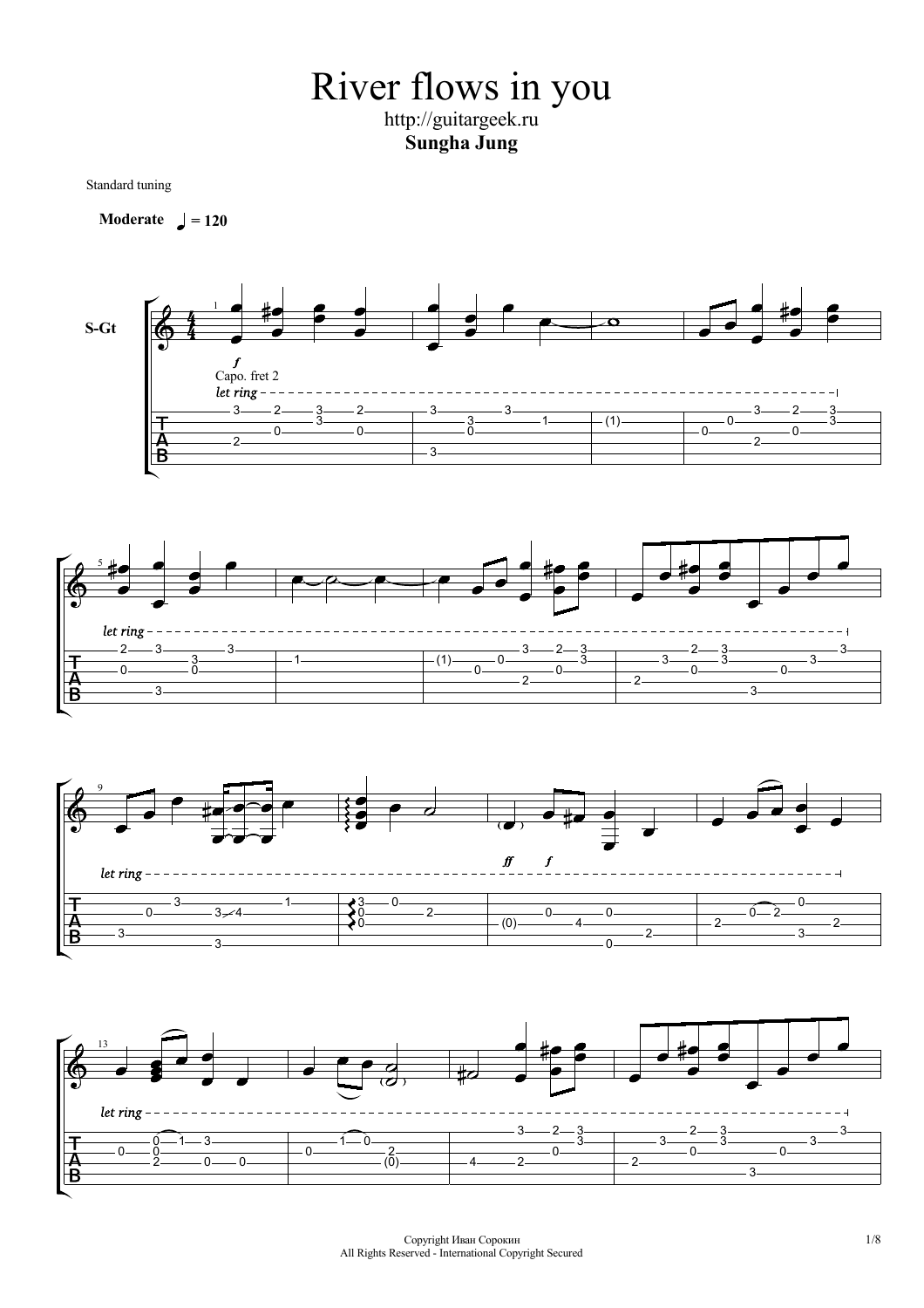River flows in you http://guitargeek.ru Sungha Jung

Standard tuning

Moderate  $= 120$ 

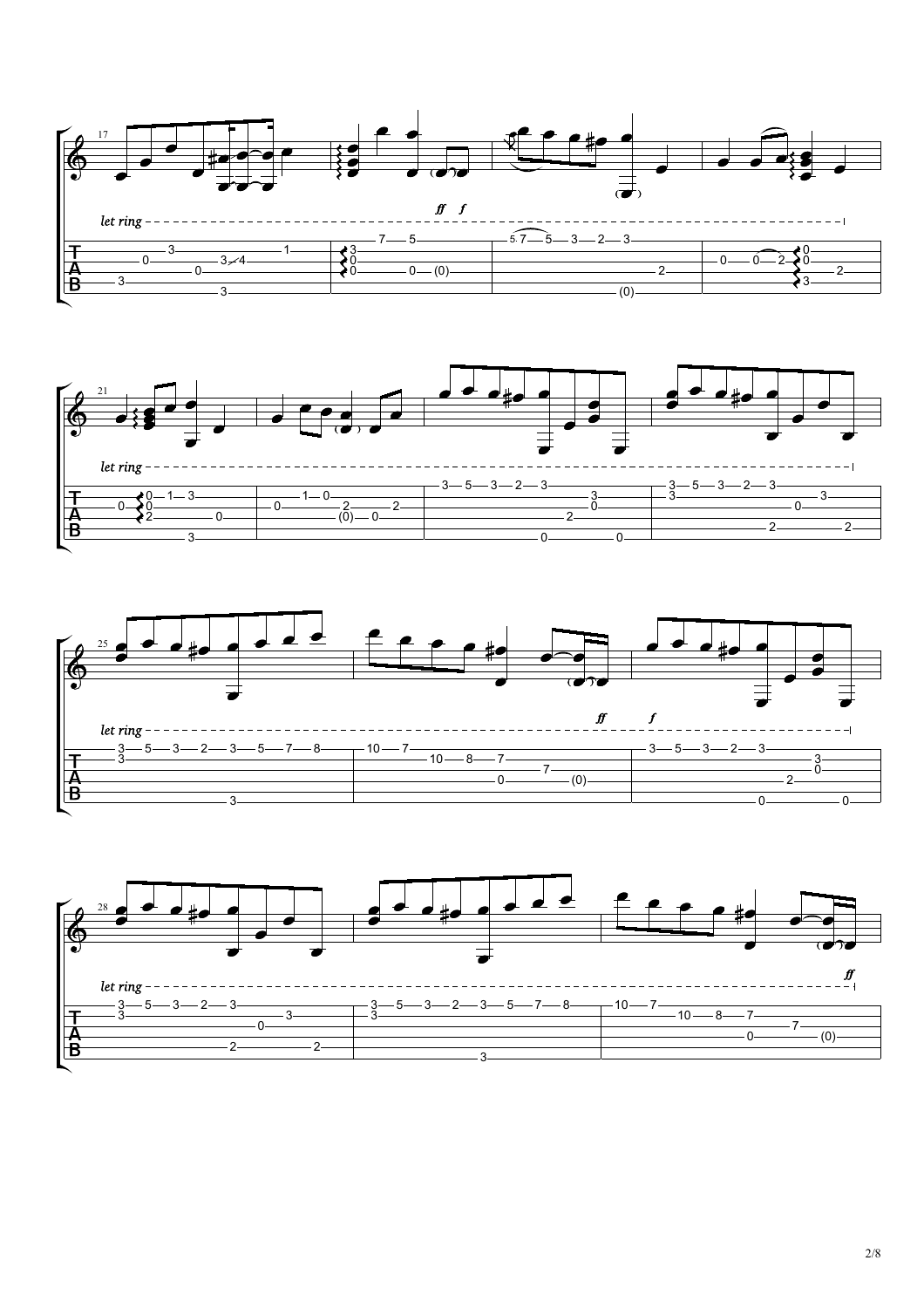





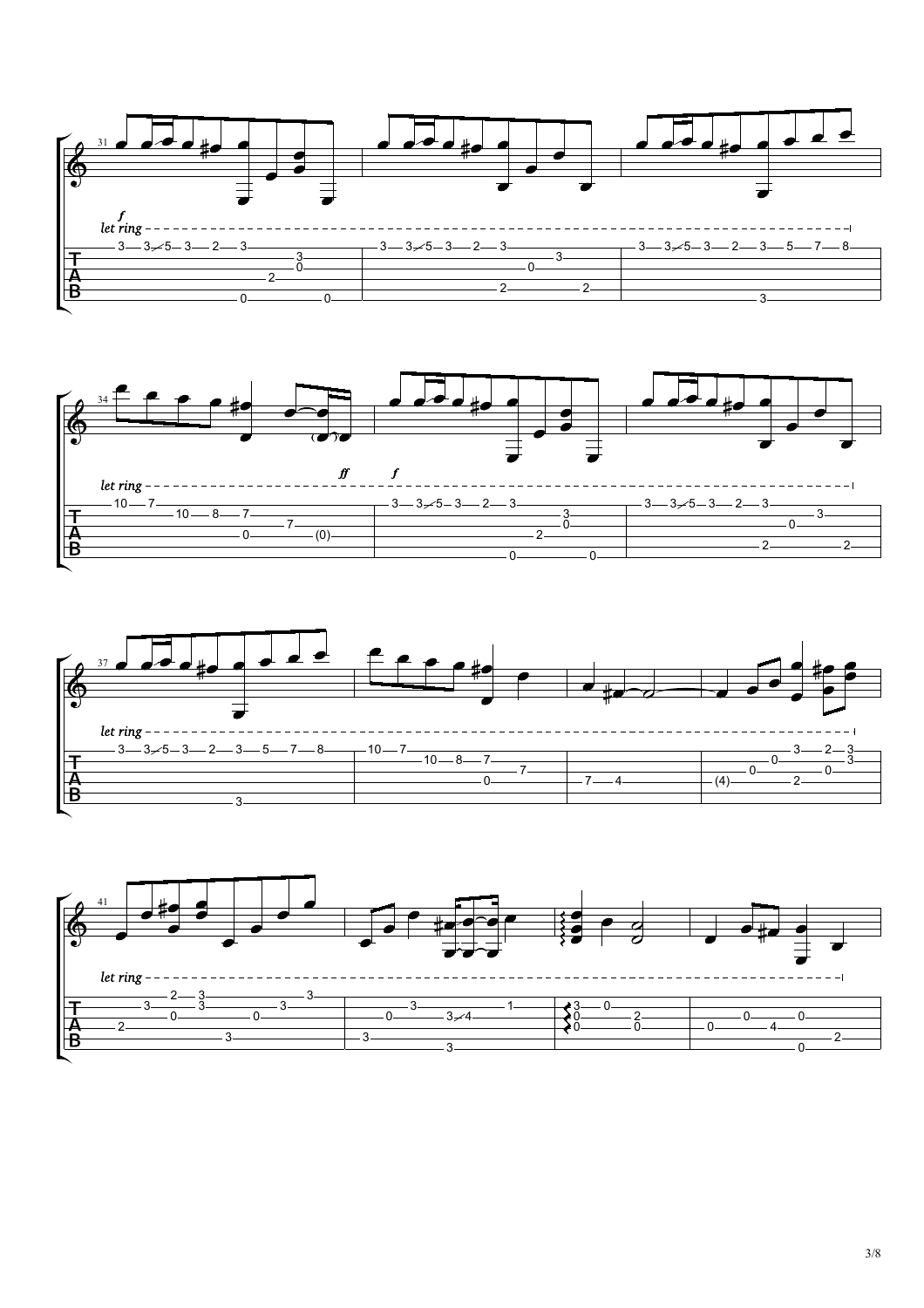





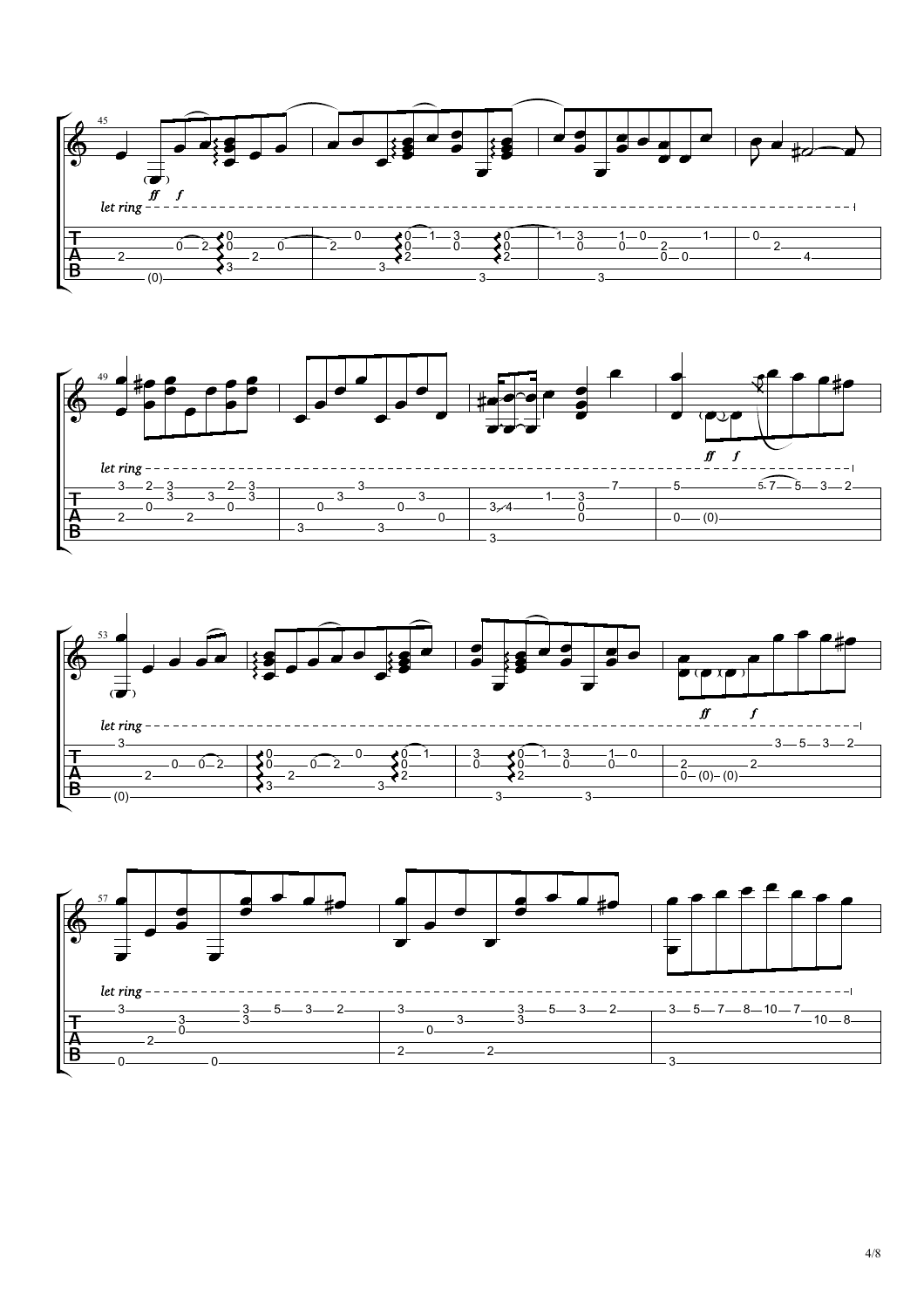





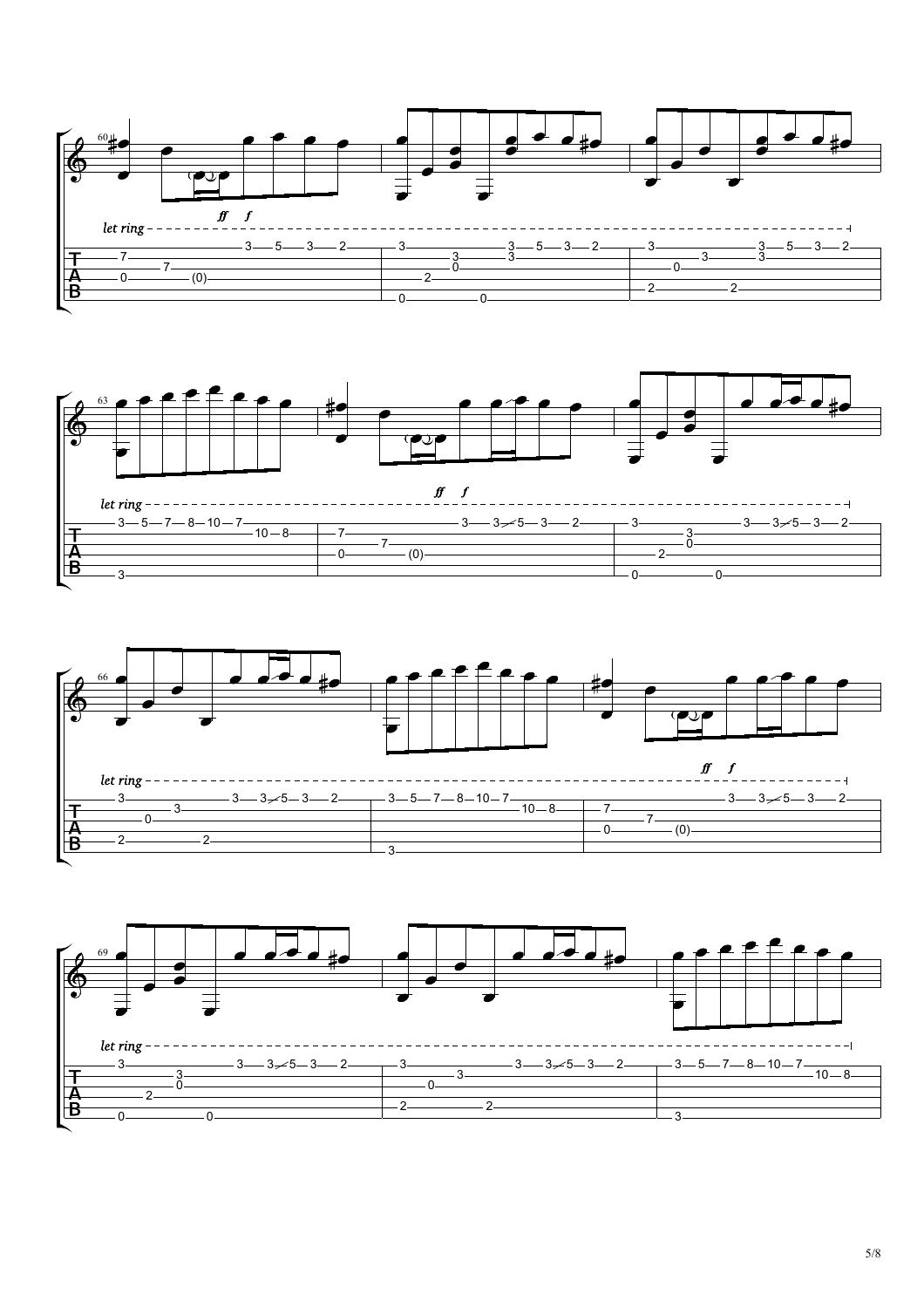







5/8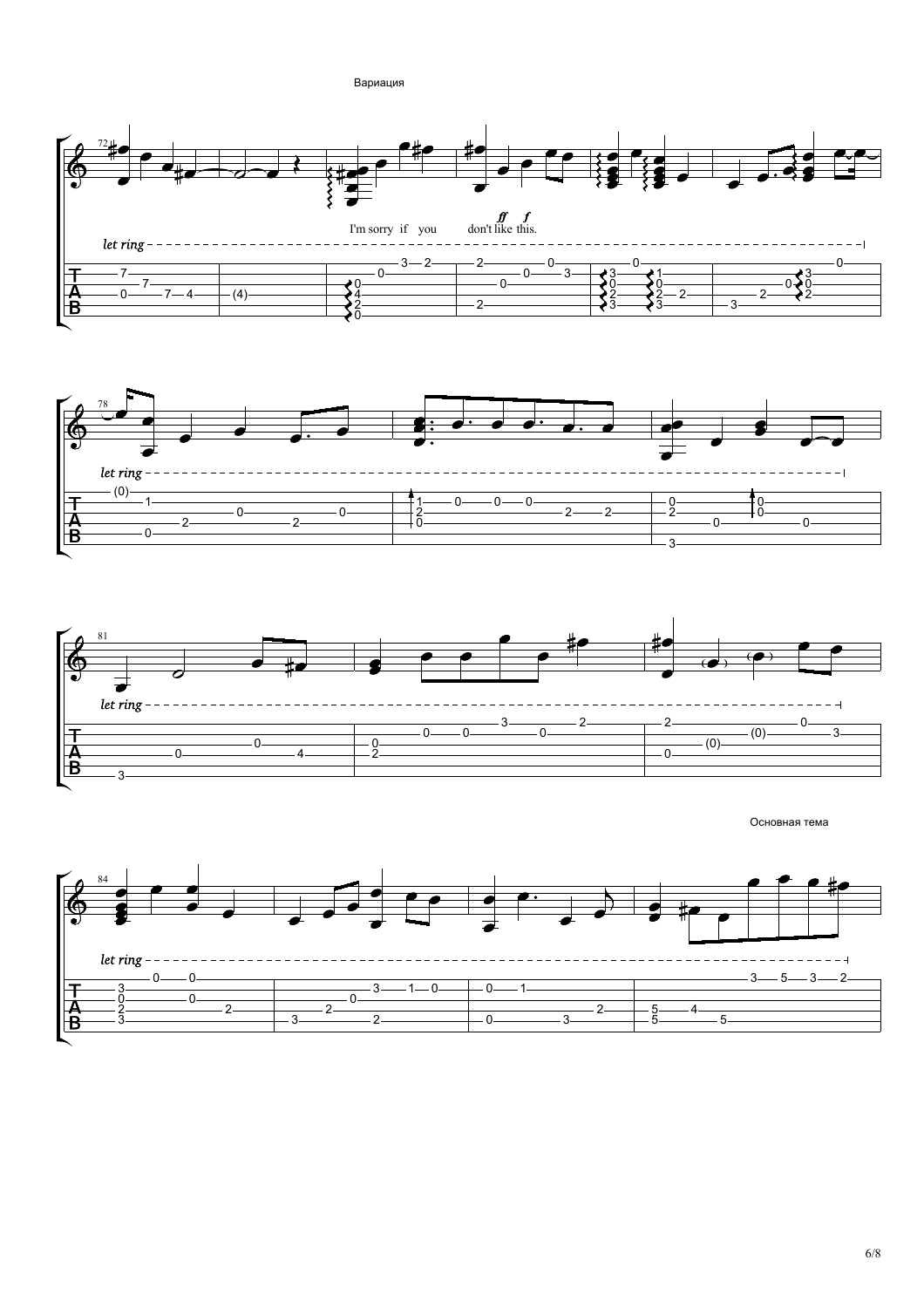Вариация







Основная тема

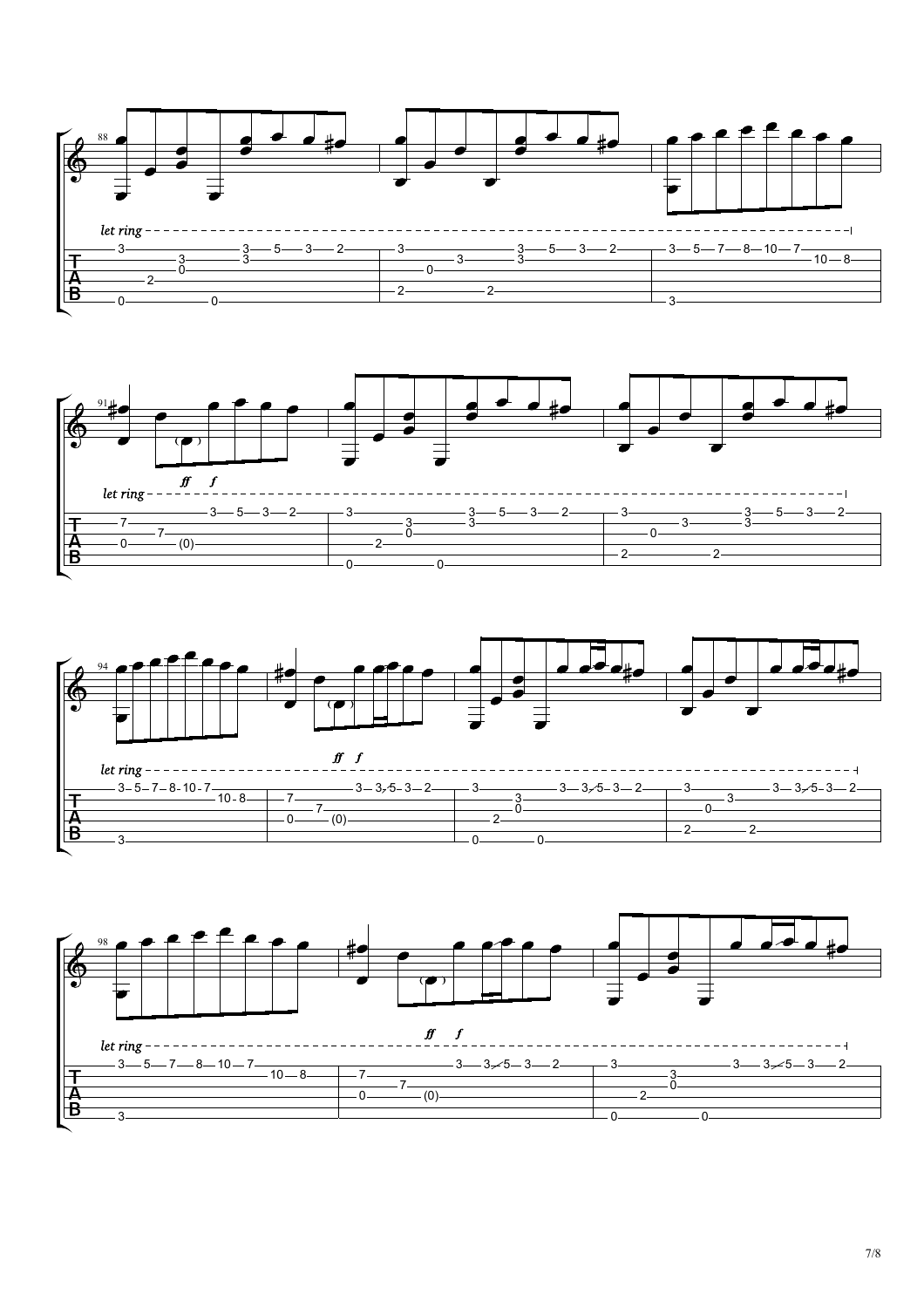